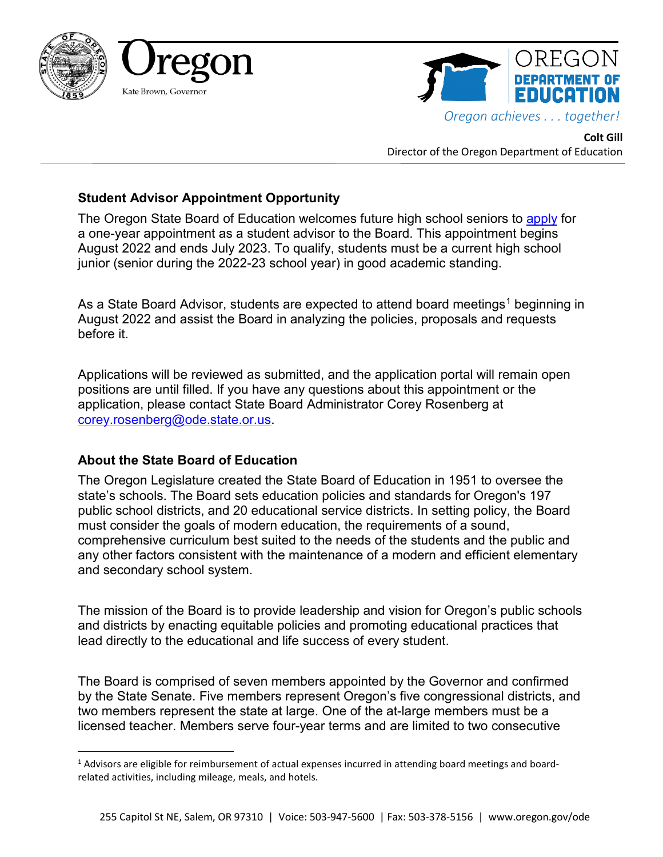



**Colt Gill** Director of the Oregon Department of Education

## **Student Advisor Appointment Opportunity**

The Oregon State Board of Education welcomes future high school seniors to [apply](https://app.smartsheet.com/b/form/90093f463ac04e1daa7dfe5f091fbb30) for a one-year appointment as a student advisor to the Board. This appointment begins August 2022 and ends July 2023. To qualify, students must be a current high school junior (senior during the 2022-23 school year) in good academic standing.

As a State Board Advisor, students are expected to attend board meetings<sup>[1](#page-0-0)</sup> beginning in August 2022 and assist the Board in analyzing the policies, proposals and requests before it.

Applications will be reviewed as submitted, and the application portal will remain open positions are until filled. If you have any questions about this appointment or the application, please contact State Board Administrator Corey Rosenberg at [corey.rosenberg@ode.state.or.us.](mailto:corey.rosenberg@ode.state.or.us)

## **About the State Board of Education**

The Oregon Legislature created the State Board of Education in 1951 to oversee the state's schools. The Board sets education policies and standards for Oregon's 197 public school districts, and 20 educational service districts. In setting policy, the Board must consider the goals of modern education, the requirements of a sound, comprehensive curriculum best suited to the needs of the students and the public and any other factors consistent with the maintenance of a modern and efficient elementary and secondary school system.

The mission of the Board is to provide leadership and vision for Oregon's public schools and districts by enacting equitable policies and promoting educational practices that lead directly to the educational and life success of every student.

The Board is comprised of seven members appointed by the Governor and confirmed by the State Senate. Five members represent Oregon's five congressional districts, and two members represent the state at large. One of the at-large members must be a licensed teacher. Members serve four-year terms and are limited to two consecutive

<span id="page-0-0"></span><sup>&</sup>lt;sup>1</sup> Advisors are eligible for reimbursement of actual expenses incurred in attending board meetings and boardrelated activities, including mileage, meals, and hotels.